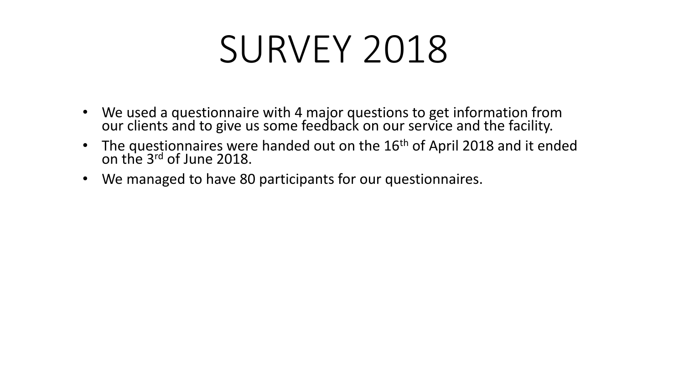# SURVEY 2018

- We used a questionnaire with 4 major questions to get information from our clients and to give us some feedback on our service and the facility.
- The questionnaires were handed out on the 16<sup>th</sup> of April 2018 and it ended on the 3rd of June 2018.
- We managed to have 80 participants for our questionnaires.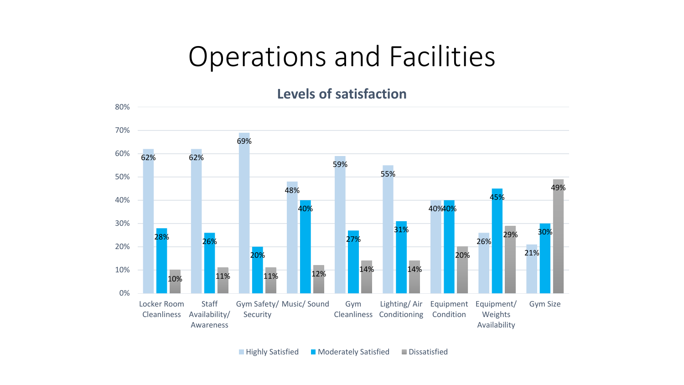#### Operations and Facilities

**Levels of satisfaction**

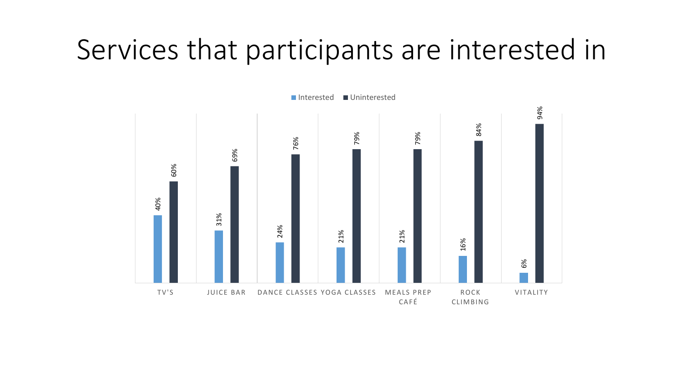### Services that participants are interested in

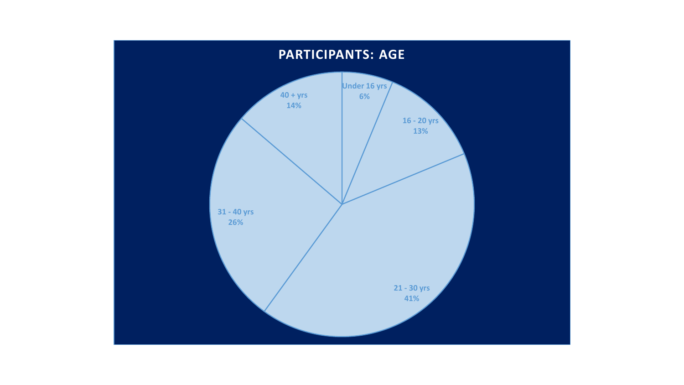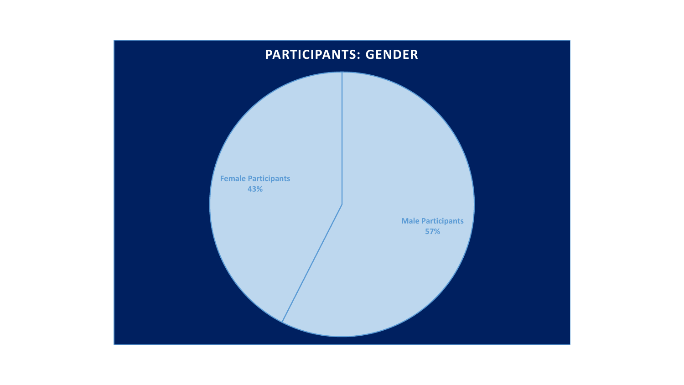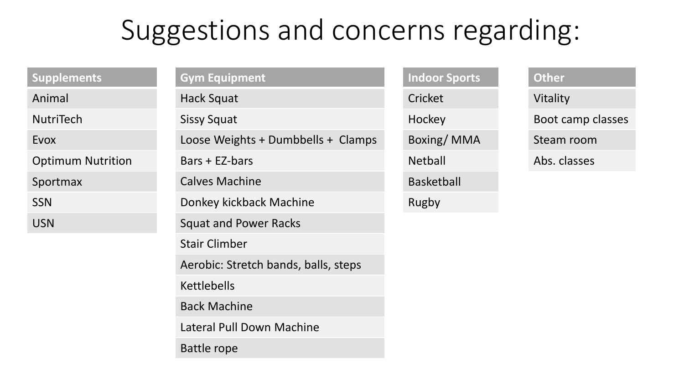# Suggestions and concerns regarding:

| <b>Supplements</b>       | <b>Gym Equipment</b>                 | <b>Indoor Sports</b> |
|--------------------------|--------------------------------------|----------------------|
| Animal                   | Hack Squat                           | Cricket              |
| <b>NutriTech</b>         | <b>Sissy Squat</b>                   | Hockey               |
| Evox                     | Loose Weights + Dumbbells + Clamps   | Boxing/MMA           |
| <b>Optimum Nutrition</b> | Bars + EZ-bars                       | <b>Netball</b>       |
| Sportmax                 | <b>Calves Machine</b>                | <b>Basketball</b>    |
| <b>SSN</b>               | Donkey kickback Machine              | Rugby                |
| <b>USN</b>               | <b>Squat and Power Racks</b>         |                      |
|                          | <b>Stair Climber</b>                 |                      |
|                          | Aerobic: Stretch bands, balls, steps |                      |
|                          | <b>Kettlebells</b>                   |                      |
|                          | <b>Back Machine</b>                  |                      |
|                          | Lateral Pull Down Machine            |                      |
|                          | <b>Battle rope</b>                   |                      |

**Other** 

Vitality

Boot camp classes

Steam room

Abs. classes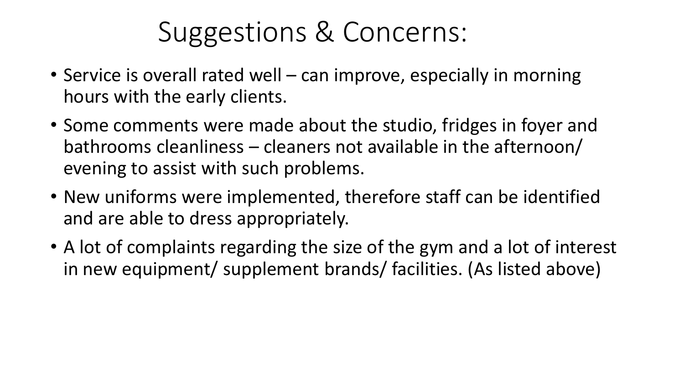### Suggestions & Concerns:

- Service is overall rated well can improve, especially in morning hours with the early clients.
- Some comments were made about the studio, fridges in foyer and bathrooms cleanliness – cleaners not available in the afternoon/ evening to assist with such problems.
- New uniforms were implemented, therefore staff can be identified and are able to dress appropriately.
- A lot of complaints regarding the size of the gym and a lot of interest in new equipment/ supplement brands/ facilities. (As listed above)